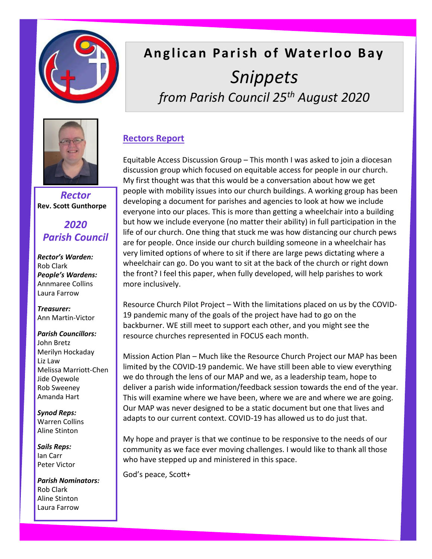

# **Anglican Parish of Waterloo Bay** *Snippets from Parish Council 25th August 2020*



*Rector* **Rev. Scott Gunthorpe**

# *2020 Parish Council*

*Rector's Warden:* Rob Clark *People's Wardens:*  Annmaree Collins Laura Farrow

*Treasurer:* Ann Martin-Victor

#### *Parish Councillors:*

John Bretz Merilyn Hockaday Liz Law Melissa Marriott-Chen Jide Oyewole Rob Sweeney Amanda Hart

*Synod Reps:* Warren Collins Aline Stinton

*Sails Reps:* Ian Carr Peter Victor

*Parish Nominators:* Rob Clark Aline Stinton Laura Farrow

# **Rectors Report**

Equitable Access Discussion Group – This month I was asked to join a diocesan discussion group which focused on equitable access for people in our church. My first thought was that this would be a conversation about how we get people with mobility issues into our church buildings. A working group has been developing a document for parishes and agencies to look at how we include everyone into our places. This is more than getting a wheelchair into a building but how we include everyone (no matter their ability) in full participation in the life of our church. One thing that stuck me was how distancing our church pews are for people. Once inside our church building someone in a wheelchair has very limited options of where to sit if there are large pews dictating where a wheelchair can go. Do you want to sit at the back of the church or right down the front? I feel this paper, when fully developed, will help parishes to work more inclusively.

Resource Church Pilot Project – With the limitations placed on us by the COVID-19 pandemic many of the goals of the project have had to go on the backburner. WE still meet to support each other, and you might see the resource churches represented in FOCUS each month.

Mission Action Plan – Much like the Resource Church Project our MAP has been limited by the COVID-19 pandemic. We have still been able to view everything we do through the lens of our MAP and we, as a leadership team, hope to deliver a parish wide information/feedback session towards the end of the year. This will examine where we have been, where we are and where we are going. Our MAP was never designed to be a static document but one that lives and adapts to our current context. COVID-19 has allowed us to do just that.

My hope and prayer is that we continue to be responsive to the needs of our community as we face ever moving challenges. I would like to thank all those who have stepped up and ministered in this space.

God's peace, Scott+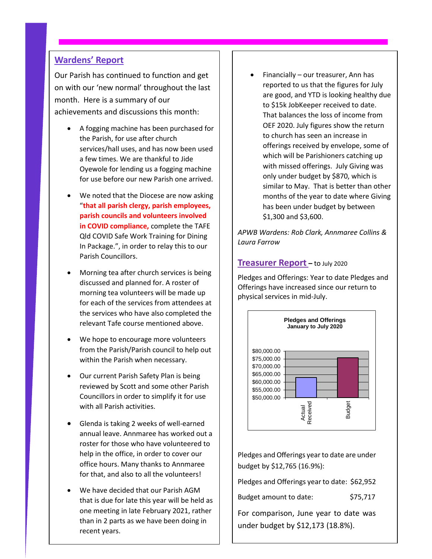### **Wardens' Report**

Our Parish has continued to function and get on with our 'new normal' throughout the last month. Here is a summary of our achievements and discussions this month:

- A fogging machine has been purchased for the Parish, for use after church services/hall uses, and has now been used a few times. We are thankful to Jide Oyewole for lending us a fogging machine for use before our new Parish one arrived.
- We noted that the Diocese are now asking "**that all parish clergy, parish employees, parish councils and volunteers involved in COVID compliance,** complete the TAFE Qld COVID Safe Work Training for Dining In Package.", in order to relay this to our Parish Councillors.
- Morning tea after church services is being discussed and planned for. A roster of morning tea volunteers will be made up for each of the services from attendees at the services who have also completed the relevant Tafe course mentioned above.
- We hope to encourage more volunteers from the Parish/Parish council to help out within the Parish when necessary.
- Our current Parish Safety Plan is being reviewed by Scott and some other Parish Councillors in order to simplify it for use with all Parish activities.
- Glenda is taking 2 weeks of well-earned annual leave. Annmaree has worked out a roster for those who have volunteered to help in the office, in order to cover our office hours. Many thanks to Annmaree for that, and also to all the volunteers!
- We have decided that our Parish AGM that is due for late this year will be held as one meeting in late February 2021, rather than in 2 parts as we have been doing in recent years.

• Financially – our treasurer, Ann has reported to us that the figures for July are good, and YTD is looking healthy due to \$15k JobKeeper received to date. That balances the loss of income from OEF 2020. July figures show the return to church has seen an increase in offerings received by envelope, some of which will be Parishioners catching up with missed offerings. July Giving was only under budget by \$870, which is similar to May. That is better than other months of the year to date where Giving has been under budget by between \$1,300 and \$3,600.

*APWB Wardens: Rob Clark, Annmaree Collins & Laura Farrow*

#### **Treasurer Report –** to July 2020

Pledges and Offerings: Year to date Pledges and Offerings have increased since our return to physical services in mid-July.



Pledges and Offerings year to date are under budget by \$12,765 (16.9%):

Pledges and Offerings year to date: \$62,952

Budget amount to date: \$75,717

For comparison, June year to date was under budget by \$12,173 (18.8%).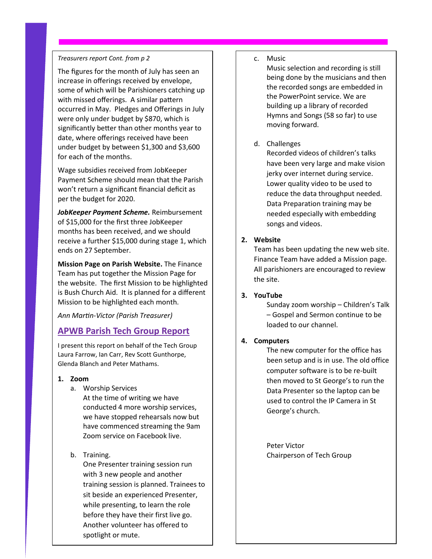#### *Treasurers report Cont. from p 2*

The figures for the month of July has seen an increase in offerings received by envelope, some of which will be Parishioners catching up with missed offerings. A similar pattern occurred in May. Pledges and Offerings in July were only under budget by \$870, which is significantly better than other months year to date, where offerings received have been under budget by between \$1,300 and \$3,600 for each of the months.

Wage subsidies received from JobKeeper Payment Scheme should mean that the Parish won't return a significant financial deficit as per the budget for 2020.

*JobKeeper Payment Scheme.* Reimbursement of \$15,000 for the first three JobKeeper months has been received, and we should receive a further \$15,000 during stage 1, which ends on 27 September.

**Mission Page on Parish Website.** The Finance Team has put together the Mission Page for the website. The first Mission to be highlighted is Bush Church Aid. It is planned for a different Mission to be highlighted each month.

*Ann Martin-Victor (Parish Treasurer)*

# **APWB Parish Tech Group Report**

I present this report on behalf of the Tech Group Laura Farrow, Ian Carr, Rev Scott Gunthorpe, Glenda Blanch and Peter Mathams.

- **1. Zoom** 
	- a. Worship Services At the time of writing we have conducted 4 more worship services, we have stopped rehearsals now but have commenced streaming the 9am Zoom service on Facebook live.
	- b. Training.

One Presenter training session run with 3 new people and another training session is planned. Trainees to sit beside an experienced Presenter, while presenting, to learn the role before they have their first live go. Another volunteer has offered to spotlight or mute.

#### c. Music

Music selection and recording is still being done by the musicians and then the recorded songs are embedded in the PowerPoint service. We are building up a library of recorded Hymns and Songs (58 so far) to use moving forward.

#### d. Challenges

Recorded videos of children's talks have been very large and make vision jerky over internet during service. Lower quality video to be used to reduce the data throughput needed. Data Preparation training may be needed especially with embedding songs and videos.

#### **2. Website**

Team has been updating the new web site. Finance Team have added a Mission page. All parishioners are encouraged to review the site.

#### **3. YouTube**

Sunday zoom worship – Children's Talk – Gospel and Sermon continue to be loaded to our channel.

#### **4. Computers**

The new computer for the office has been setup and is in use. The old office computer software is to be re-built then moved to St George's to run the Data Presenter so the laptop can be used to control the IP Camera in St George's church.

Peter Victor Chairperson of Tech Group